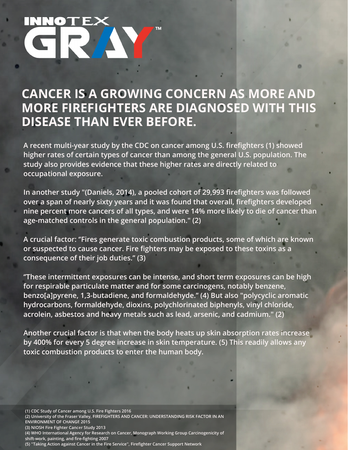## **CANCER IS A GROWING CONCERN AS MORE AND MORE FIREFIGHTERS ARE DIAGNOSED WITH THIS DISEASE THAN EVER BEFORE.**

**A recent multi-year study by the CDC on cancer among U.S. firefighters (1) showed higher rates of certain types of cancer than among the general U.S. population. The study also provides evidence that these higher rates are directly related to occupational exposure.**

**In another study "(Daniels, 2014), a pooled cohort of 29,993 firefighters was followed over a span of nearly sixty years and it was found that overall, firefighters developed nine percent more cancers of all types, and were 14% more likely to die of cancer than age-matched controls in the general population." (2)**

**A crucial factor: ''Fires generate toxic combustion products, some of which are known or suspected to cause cancer. Fire fighters may be exposed to these toxins as a consequence of their job duties.'' (3)**

**''These intermittent exposures can be intense, and short term exposures can be high for respirable particulate matter and for some carcinogens, notably benzene, benzo[a]pyrene, 1,3-butadiene, and formaldehyde.'' (4) But also "polycyclic aromatic hydrocarbons, formaldehyde, dioxins, polychlorinated biphenyls, vinyl chloride, acrolein, asbestos and heavy metals such as lead, arsenic, and cadmium." (2)**

**Another crucial factor is that when the body heats up skin absorption rates increase by 400% for every 5 degree increase in skin temperature. (5) This readily allows any toxic combustion products to enter the human body.**

**(1) CDC Study of Cancer among U.S. Fire Fighters 2016 (2) University of the Fraser Valley, FIREFIGHTERS AND CANCER: UNDERSTANDING RISK FACTOR IN AN ENVIRONMENT OF CHANGE 2015 (3) NIOSH Fire Fighter Cancer Study 2013 (4) WHO International Agency for Research on Cancer, Monograph Working Group Carcinogenicity of shift-work, painting, and fire-fighting 2007 (5) ''Taking Action against Cancer in the Fire Service'', Firefighter Cancer Support Network**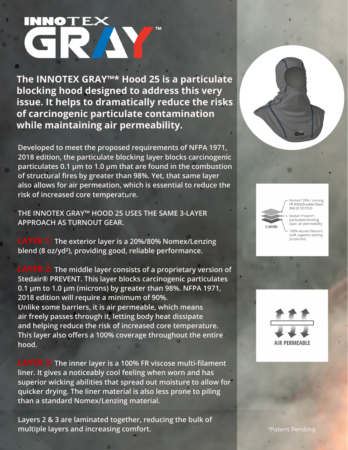# CRAN

**The INNOTEX GRAY™\* Hood 25 is a particulate blocking hood designed to address this very issue. It helps to dramatically reduce the risks of carcinogenic particulate contamination while maintaining air permeability.**

**Developed to meet the proposed requirements of NFPA 1971, 2018 edition, the particulate blocking layer blocks carcinogenic particulates 0.1 µm to 1.0 µm that are found in the combustion of structural fires by greater than 98%. Yet, that same layer also allows for air permeation, which is essential to reduce the risk of increased core temperature.**

**THE INNOTEX GRAY™ HOOD 25 USES THE SAME 3-LAYER APPROACH AS TURNOUT GEAR.**

**The exterior layer is a 20%/80% Nomex/Lenzing LAYER 1: blend (8 oz/yd²), providing good, reliable performance.**

**The middle layer consists of a proprietary version of Stedair® PREVENT. This layer blocks carcinogenic particulates 0.1 µm to 1.0 µm (microns) by greater than 98%. NFPA 1971, 2018 edition will require a minimum of 90%. Unlike some barriers, it is air permeable, which means air freely passes through it, letting body heat dissipate and helping reduce the risk of increased core temperature. This layer also offers a 100% coverage throughout the entire hood.**

**The inner layer is a 100% FR viscose multi-filament LAYER 3: liner. It gives a noticeably cool feeling when worn and has superior wicking abilities that spread out moisture to allow for quicker drying. The liner material is also less prone to piling than a standard Nomex/Lenzing material.**

**Layers 2 & 3 are laminated together, reducing the bulk of multiple layers and increasing comfort.**



**3 LAYERS** 

Nomex<sup>®</sup> 20% / Lenzing<br>FR 80%(Shoulder/Back Bib) (8 OZ/YD2)

Stedair Prevent<sup>®</sup>, particulate blocking<br>layer, air permeability

100% viscose filament (soft, superior wicking<br>properties)



\*Patent Pending